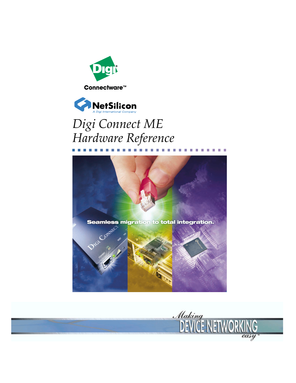



# Digi Connect ME Hardware Reference



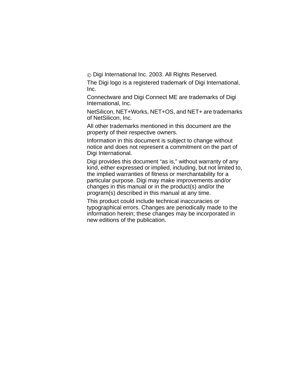Digi International Inc. 2003. All Rights Reserved.

The Digi logo is a registered trademark of Digi International, Inc.

Connectware and Digi Connect ME are trademarks of Digi International, Inc.

NetSilicon, NET+Works, NET+OS, and NET+ are trademarks of NetSilicon, Inc.

All other trademarks mentioned in this document are the property of their respective owners.

Information in this document is subject to change without notice and does not represent a commitment on the part of Digi International.

Digi provides this document "as is," without warranty of any kind, either expressed or implied, including, but not limited to, the implied warranties of fitness or merchantability for a particular purpose. Digi may make improvements and/or changes in this manual or in the product(s) and/or the program(s) described in this manual at any time.

This product could include technical inaccuracies or typographical errors. Changes are periodically made to the information herein; these changes may be incorporated in new editions of the publication.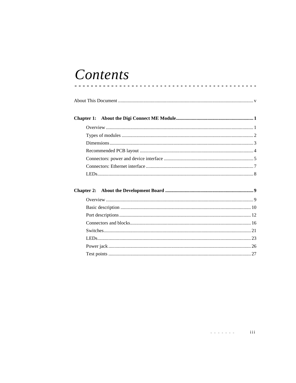# Contents

|--|--|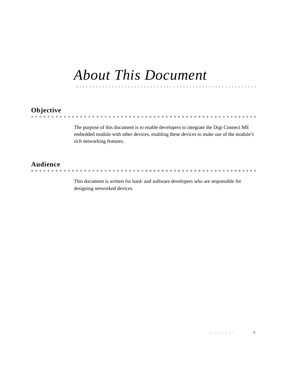# <span id="page-6-0"></span>*About This Document*

# **Objective**

. . . . . . . . . . .

The purpose of this document is to enable developers to integrate the Digi Connect ME embedded module with other devices, enabling these devices to make use of the module's rich networking features.

# **Audience**

the contract of the contract of the con-**CONTRACTOR**  $\alpha\rightarrow\infty$  $\sim$  10  $\pm$ 

> This document is written for hard- and software developers who are responsible for designing networked devices.

••••••••••••••••••••••••••••••••••••••••••••••••••••••• •

*<b>A R R R R R R R R R R R*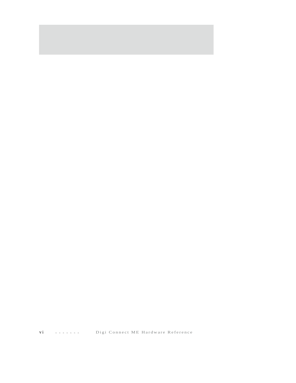Vi **n n n n n n** Digi Connect ME Hardware Reference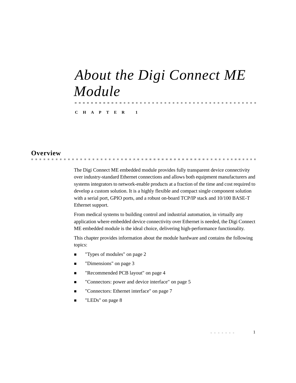## <span id="page-8-0"></span>*About the Digi Connect ME Module* . . . . . . . . . . . . . . **Contract Contract** the contract of the contract of

**CHAPTER 1**

## <span id="page-8-1"></span>**Overview**

The Digi Connect ME embedded module provides fully transparent device connectivity over industry-standard Ethernet connections and allows both equipment manufacturers and systems integrators to network-enable products at a fraction of the time and cost required to develop a custom solution. It is a highly flexible and compact single component solution with a serial port, GPIO ports, and a robust on-board TCP/IP stack and 10/100 BASE-T Ethernet support.

. . . . . . . . . . .

. . . . . . . . . . . . . . . .

From medical systems to building control and industrial automation, in virtually any application where embedded device connectivity over Ethernet is needed, the Digi Connect ME embedded module is the ideal choice, delivering high-performance functionality.

This chapter provides information about the module hardware and contains the following topics:

- **Types of modules** on page 2
- **I** ["Dimensions" on page 3](#page-10-0)
- **Example 18 The Commended PCB layout"** on page 4
- **EXECONORM** ["Connectors: power and device interface" on page 5](#page-12-0)
- **EXECUTE:** ["Connectors: Ethernet interface" on page 7](#page-14-0)
- ["LEDs" on page 8](#page-15-0)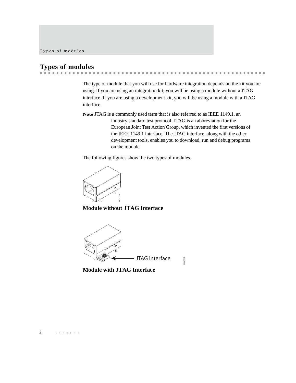# <span id="page-9-0"></span>**Types of modules**

The type of module that you will use for hardware integration depends on the kit you are using. If you are using an integration kit, you will be using a module without a JTAG interface. If you are using a development kit, you will be using a module with a JTAG interface.

**Burnett** 

**Note** JTAG is a commonly used term that is also referred to as IEEE 1149.1, an industry standard test protocol. JTAG is an abbreviation for the European Joint Test Action Group, which invented the first versions of the IEEE 1149.1 interface. The JTAG interface, along with the other development tools, enables you to download, run and debug programs on the module.

00000017

00000017

The following figures show the two types of modules.



**Module without JTAG Interface**

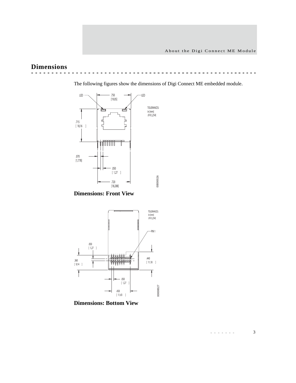ш **CO In** ш ш **III** ш ш **III**   $\mathbb{R}^d$  $\mathbf{m}$  $\mathbf{u}$  $\mathbf{u}$  $\equiv$   $\mathbf{0}$  ,  $\mathbf{0}$  ,  $\mathbf{0}$ 

#### <span id="page-10-0"></span>**Dimensions**  $\bar{a}$

 $\mathbf{u}$  $\alpha$  $\mathbf{u}$  ш ш × п ш ш ٠

 $\textrm{LED}$  .750  $\textrm{IED}$  ,  $\textrm{LED}$ [19,05] TOLERANCES: 5 in [mm] .010 [,254] 브 .715  $\overline{a}$ 

The following figures show the dimensions of Digi Connect ME embedded module.

٠ п ×

00000026

00000026



.720

.050  $[ 1, 27 ]$ 

WWW

.070 [1,778]

[ ] 18,16



**Dimensions: Bottom View**

n n n n n n n 1 3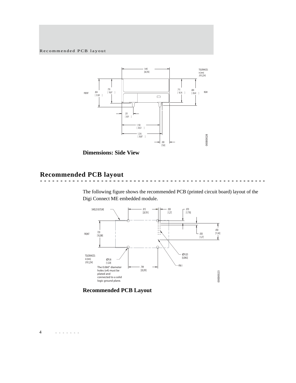

**Dimensions: Side View**

# <span id="page-11-0"></span>**Recommended PCB layout**

The following figure shows the recommended PCB (printed circuit board) layout of the Digi Connect ME embedded module.

÷  $\sim$ C.  $\blacksquare$  $\equiv$  $\mathbb{R}^2$ 



**Recommended PCB Layout**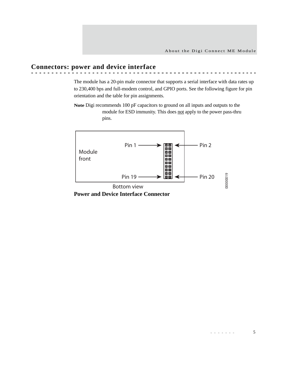$\mathbf{H} \in \mathbf{H}$ 

# <span id="page-12-0"></span>**Connectors: power and device interface**

 $\blacksquare$  $\alpha$ 

The module has a 20-pin male connector that supports a serial interface with data rates up to 230,400 bps and full-modem control, and GPIO ports. See the following figure for pin orientation and the table for pin assignments.

**Note** Digi recommends 100 pF capacitors to ground on all inputs and outputs to the module for ESD immunity. This does not apply to the power pass-thru pins.



**Power and Device Interface Connector**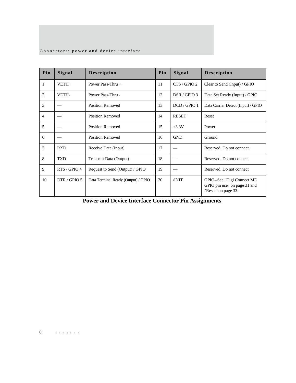| Pin            | <b>Signal</b> | <b>Description</b>                  | Pin | Signal       | Description                                                                       |
|----------------|---------------|-------------------------------------|-----|--------------|-----------------------------------------------------------------------------------|
| 1              | $VETH+$       | Power Pass-Thru $+$                 | 11  | CTS / GPIO 2 | Clear to Send (Input) / GPIO                                                      |
| $\overline{2}$ | VETH-         | Power Pass-Thru -                   | 12  | DSR / GPIO 3 | Data Set Ready (Input) / GPIO                                                     |
| 3              |               | <b>Position Removed</b>             | 13  | DCD / GPIO 1 | Data Carrier Detect (Input) / GPIO                                                |
| $\overline{4}$ |               | <b>Position Removed</b>             | 14  | <b>RESET</b> | Reset                                                                             |
| 5              |               | <b>Position Removed</b>             | 15  | $+3.3V$      | Power                                                                             |
| 6              |               | <b>Position Removed</b>             | 16  | <b>GND</b>   | Ground                                                                            |
| $\overline{7}$ | <b>RXD</b>    | Receive Data (Input)                | 17  |              | Reserved. Do not connect.                                                         |
| 8              | <b>TXD</b>    | Transmit Data (Output)              | 18  |              | Reserved. Do not connect                                                          |
| 9              | RTS / GPIO 4  | Request to Send (Output) / GPIO     | 19  |              | Reserved. Do not connect                                                          |
| 10             | DTR/GPIO 5    | Data Terminal Ready (Output) / GPIO | 20  | /INIT        | GPIO--See "Digi Connect ME<br>GPIO pin use" on page 31 and<br>"Reset" on page 33. |

# **Power and Device Interface Connector Pin Assignments**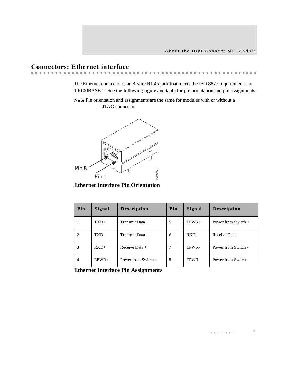$\mathbf{0}$  ,  $\mathbf{0}$  ,  $\mathbf{0}$  ,

# <span id="page-14-0"></span>**Connectors: Ethernet interface**

The Ethernet connector is an 8-wire RJ-45 jack that meets the ISO 8877 requirements for 10/100BASE-T. See the following figure and table for pin orientation and pin assignments.

**Note** Pin orientation and assignments are the same for modules with or without a JTAG connector.



**Ethernet Interface Pin Orientation**

| Pin | Signal  | <b>Description</b>    | Pin | Signal  | <b>Description</b>    |
|-----|---------|-----------------------|-----|---------|-----------------------|
|     | $TXD+$  | Transmit Data $+$     | 5   | $EPWR+$ | Power from Switch $+$ |
| 2   | TXD-    | Transmit Data -       | 6   | RXD-    | Receive Data -        |
| 3   | $RXD+$  | Receive Data $+$      | 7   | EPWR-   | Power from Switch -   |
| 4   | $EPWR+$ | Power from Switch $+$ | 8   | EPWR-   | Power from Switch -   |

**Ethernet Interface Pin Assignments**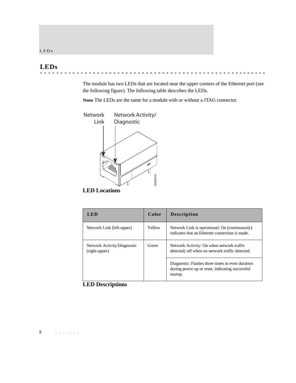#### <span id="page-15-0"></span>**LEDs**  $\mathbb{R}^d$  $\overline{\phantom{a}}$

a a ×. ×

The module has two LEDs that are located near the upper corners of the Ethernet port (see the following figure). The following table describes the LEDs.

**Note** The LEDs are the same for a module with or without a JTAG connector.



## **LED Locations**

| LED                                          | Color  | <b>Description</b>                                                                                              |  |  |
|----------------------------------------------|--------|-----------------------------------------------------------------------------------------------------------------|--|--|
| Network Link (left-upper)                    | Yellow | Network Link is operational: On (continuously)<br>indicates that an Ethernet connection is made.                |  |  |
| Network Activity/Diagnostic<br>(right-upper) | Green  | Network Activity: On when network traffic<br>detected; off when no network traffic detected.                    |  |  |
|                                              |        | Diagnostic: Flashes three times in even duration<br>during power up or reset, indicating successful<br>startup. |  |  |

## **LED Descriptions**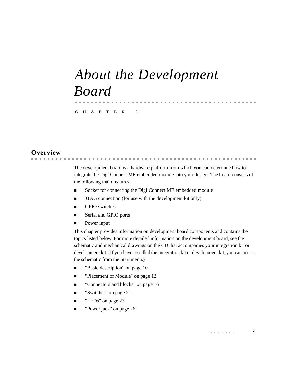# <span id="page-16-0"></span>*About the Development Board*

**CHAPTER 2**

# <span id="page-16-1"></span>**Overview**

The development board is a hardware platform from which you can determine how to integrate the Digi Connect ME embedded module into your design. The board consists of the following main features:

- Socket for connecting the Digi Connect ME embedded module
- **ITAG** connection (for use with the development kit only)
- **E** GPIO switches
- **EXECUTE:** Serial and GPIO ports
- **P**ower input

This chapter provides information on development board components and contains the topics listed below. For more detailed information on the development board, see the schematic and mechanical drawings on the CD that accompanies your integration kit or development kit. (If you have installed the integration kit or development kit, you can access the schematic from the Start menu.)

- **EXECUTE:** ["Basic description" on page 10](#page-17-0)
- **Placement of Module" on page 12**
- **Connectors and blocks**" on page 16
- **E** ["Switches" on page 21](#page-28-0)
- **I** ["LEDs" on page 23](#page-30-0)
- **P** ["Power jack" on page 26](#page-33-0)

n n n n n n n 9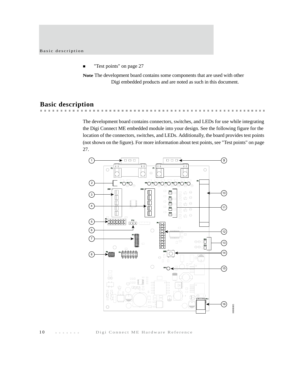["Test points" on page 27](#page-34-0)

**Note** The development board contains some components that are used with other Digi embedded products and are noted as such in this document.

## <span id="page-17-0"></span>**Basic description**

The development board contains connectors, switches, and LEDs for use while integrating the Digi Connect ME embedded module into your design. See the following figure for the location of the connectors, switches, and LEDs. Additionally, the board provides test points (not shown on the figure). For more information about test points, see ["Test points" on page](#page-34-0)  [27.](#page-34-0)

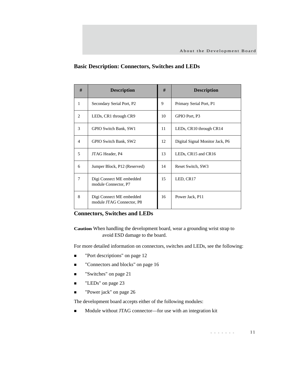| # | <b>Description</b>                                         | #  | <b>Description</b>              |
|---|------------------------------------------------------------|----|---------------------------------|
| 1 | Secondary Serial Port, P2                                  | 9  | Primary Serial Port, P1         |
| 2 | LED <sub>s</sub> , CR <sub>1</sub> through CR <sub>9</sub> | 10 | GPIO Port, P3                   |
| 3 | GPIO Switch Bank, SW1                                      | 11 | LEDs, $CR10$ through $CR14$     |
| 4 | GPIO Switch Bank, SW2                                      | 12 | Digital Signal Monitor Jack, P6 |
| 5 | JTAG Header, P4                                            | 13 | LEDs, CR15 and CR16             |
| 6 | Jumper Block, P12 (Reserved)                               | 14 | Reset Switch, SW3               |
| 7 | Digi Connect ME embedded<br>module Connector, P7           | 15 | LED, CR17                       |
| 8 | Digi Connect ME embedded<br>module JTAG Connector, P8      | 16 | Power Jack, P11                 |

#### <span id="page-18-0"></span>**Basic Description: Connectors, Switches and LEDs**

#### **Connectors, Switches and LEDs**

**Caution** When handling the development board, wear a grounding wrist strap to avoid ESD damage to the board.

For more detailed information on connectors, switches and LEDs, see the following:

- $\blacksquare$  ["Port descriptions" on page 12](#page-19-0)
- **EXECUTE:** ["Connectors and blocks" on page 16](#page-23-0)
- ["Switches" on page 21](#page-28-0)
- **I** ["LEDs" on page 23](#page-30-0)
- **P** ["Power jack" on page 26](#page-33-0)

The development board accepts either of the following modules:

■ Module without JTAG connector—for use with an integration kit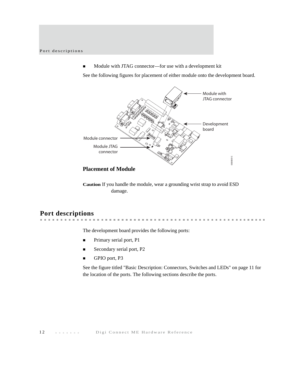! Module with JTAG connector—for use with a development kit

See the following figures for placement of either module onto the development board.



<span id="page-19-1"></span>**Placement of Module**

**Caution** If you handle the module, wear a grounding wrist strap to avoid ESD damage.

## <span id="page-19-0"></span>**Port descriptions**

The development board provides the following ports:

- [Primary serial port, P1](#page-20-0)
- [Secondary serial port, P2](#page-21-0)
- ! [GPIO port, P3](#page-22-0)

See the figure titled ["Basic Description: Connectors, Switches and LEDs" on page 11](#page-18-0) for the location of the ports. The following sections describe the ports.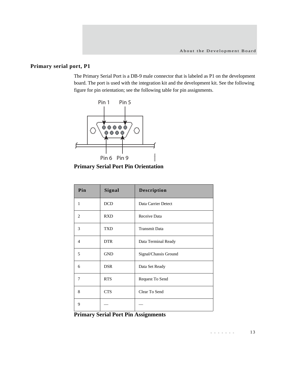#### <span id="page-20-0"></span>**Primary serial port, P1**

The Primary Serial Port is a DB-9 male connector that is labeled as P1 on the development board. The port is used with the integration kit and the development kit. See the following figure for pin orientation; see the following table for pin assignments.



**Primary Serial Port Pin Orientation**

| Pin            | <b>Signal</b> | Description           |
|----------------|---------------|-----------------------|
| 1              | <b>DCD</b>    | Data Carrier Detect   |
| 2              | <b>RXD</b>    | Receive Data          |
| 3              | <b>TXD</b>    | <b>Transmit Data</b>  |
| $\overline{4}$ | <b>DTR</b>    | Data Terminal Ready   |
| 5              | <b>GND</b>    | Signal/Chassis Ground |
| 6              | <b>DSR</b>    | Data Set Ready        |
| 7              | <b>RTS</b>    | Request To Send       |
| 8              | <b>CTS</b>    | Clear To Send         |
| $\mathbf Q$    |               |                       |

**Primary Serial Port Pin Assignments**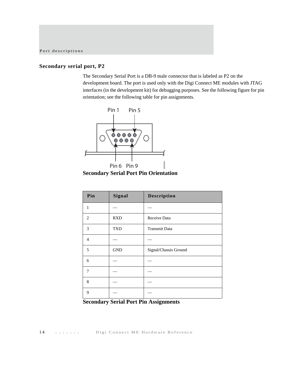### <span id="page-21-0"></span>**Secondary serial port, P2**

The Secondary Serial Port is a DB-9 male connector that is labeled as P2 on the development board. The port is used only with the Digi Connect ME modules with JTAG interfaces (in the development kit) for debugging purposes. See the following figure for pin orientation; see the following table for pin assignments.



**Secondary Serial Port Pin Orientation**

| Pin            | Signal     | Description           |
|----------------|------------|-----------------------|
| 1              |            |                       |
| 2              | <b>RXD</b> | Receive Data          |
| 3              | <b>TXD</b> | <b>Transmit Data</b>  |
| $\overline{4}$ |            |                       |
| 5              | <b>GND</b> | Signal/Chassis Ground |
| 6              |            |                       |
| 7              |            |                       |
| 8              |            |                       |
| 9              |            |                       |

**Secondary Serial Port Pin Assignments**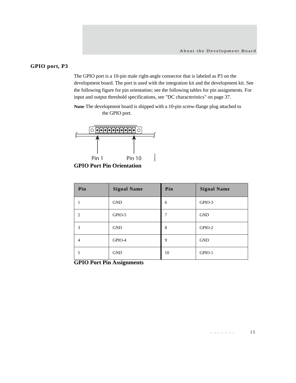#### <span id="page-22-0"></span>**GPIO port, P3**

The GPIO port is a 10-pin male right-angle connector that is labeled as P3 on the development board. The port is used with the integration kit and the development kit. See the following figure for pin orientation; see the following tables for pin assignments. For input and output threshold specifications, see ["DC characteristics" on page 37.](#page-44-2)

**Note** The development board is shipped with a 10-pin screw-flange plug attached to the GPIO port.



**GPIO Port Pin Orientation**

| Pin            | <b>Signal Name</b> | Pin | <b>Signal Name</b> |
|----------------|--------------------|-----|--------------------|
|                | <b>GND</b>         | 6   | GPIO-3             |
| $\overline{c}$ | GPIO-5             | 7   | <b>GND</b>         |
| 3              | <b>GND</b>         | 8   | GPIO-2             |
| 4              | GPIO-4             | 9   | <b>GND</b>         |
|                | <b>GND</b>         | 10  | GPIO-1             |

**GPIO Port Pin Assignments**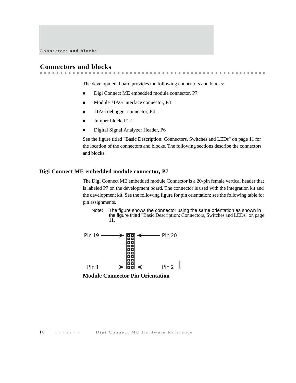#### <span id="page-23-0"></span>**Connectors and blocks**

The development board provides the following connectors and blocks:

- [Digi Connect ME embedded module connector, P7](#page-23-1)
- [Module JTAG interface connector, P8](#page-25-0)
- **ITAG debugger connector, P4**
- $\blacksquare$  [Jumper block, P12](#page-26-0)
- [Digital Signal Analyzer Header, P6](#page-26-1)

See the figure titled ["Basic Description: Connectors, Switches and LEDs" on page 11](#page-18-0) for the location of the connectors and blocks. The following sections describe the connectors and blocks.

*B. B. B. B. B.* 

#### <span id="page-23-1"></span>**Digi Connect ME embedded module connector, P7**

The Digi Connect ME embedded module Connector is a 20-pin female vertical header that is labeled P7 on the development board. The connector is used with the integration kit and the development kit. See the following figure for pin orientation; see the following table for pin assignments.

Note: The figure shows the connector using the same orientation as shown in the figure titled ["Basic Description: Connectors, Switches and LEDs" on page](#page-18-0)  [11](#page-18-0).



**Module Connector Pin Orientation**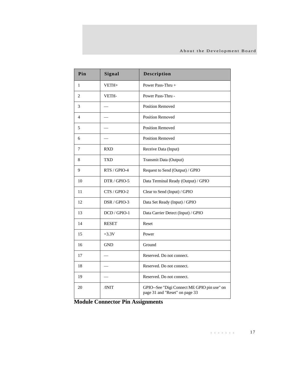| Pin            | Signal         | Description                                                                   |
|----------------|----------------|-------------------------------------------------------------------------------|
| 1              | VETH+          | Power Pass-Thru $+$                                                           |
| $\overline{c}$ | VETH-          | Power Pass-Thru -                                                             |
| 3              |                | <b>Position Removed</b>                                                       |
| 4              |                | <b>Position Removed</b>                                                       |
| 5              |                | <b>Position Removed</b>                                                       |
| 6              |                | <b>Position Removed</b>                                                       |
| 7              | <b>RXD</b>     | Receive Data (Input)                                                          |
| 8              | <b>TXD</b>     | Transmit Data (Output)                                                        |
| 9              | RTS / GPIO-4   | Request to Send (Output) / GPIO                                               |
| 10             | DTR / GPIO-5   | Data Terminal Ready (Output) / GPIO                                           |
| 11             | CTS / GPIO-2   | Clear to Send (Input) / GPIO                                                  |
| 12             | $DSR / GPIO-3$ | Data Set Ready (Input) / GPIO                                                 |
| 13             | $DCD / GPIO-1$ | Data Carrier Detect (Input) / GPIO                                            |
| 14             | <b>RESET</b>   | Reset                                                                         |
| 15             | $+3.3V$        | Power                                                                         |
| 16             | <b>GND</b>     | Ground                                                                        |
| 17             |                | Reserved. Do not connect.                                                     |
| 18             |                | Reserved. Do not connect.                                                     |
| 19             |                | Reserved. Do not connect.                                                     |
| 20             | /INIT          | GPIO--See "Digi Connect ME GPIO pin use" on<br>page 31 and "Reset" on page 33 |

**Module Connector Pin Assignments**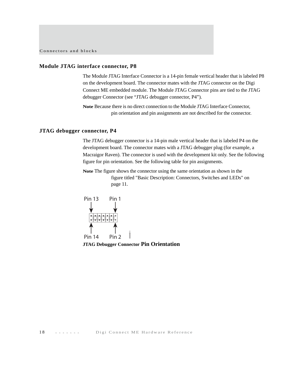#### <span id="page-25-0"></span>**Module JTAG interface connector, P8**

The Module JTAG Interface Connector is a 14-pin female vertical header that is labeled P8 on the development board. The connector mates with the JTAG connector on the Digi Connect ME embedded module. The Module JTAG Connector pins are tied to the JTAG debugger Connector (see ["JTAG debugger connector, P4](#page-25-1)").

**Note** Because there is no direct connection to the Module JTAG Interface Connector, pin orientation and pin assignments are not described for the connector.

#### <span id="page-25-1"></span>**JTAG debugger connector, P4**

The JTAG debugger connector is a 14-pin male vertical header that is labeled P4 on the development board. The connector mates with a JTAG debugger plug (for example, a Macraigor Raven). The connector is used with the development kit only. See the following figure for pin orientation. See the following table for pin assignments.

**Note** The figure shows the connector using the same orientation as shown in the figure titled ["Basic Description: Connectors, Switches and LEDs" on](#page-18-0)  [page 11](#page-18-0).

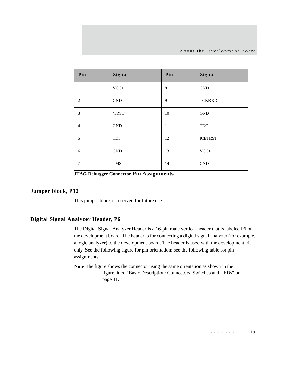| Pin            | Signal     | Pin         | Signal         |
|----------------|------------|-------------|----------------|
| $\mathbf{1}$   | $VCC+$     | $\,$ 8 $\,$ | <b>GND</b>     |
| 2              | <b>GND</b> | 9           | <b>TCKRXD</b>  |
| 3              | /TRST      | 10          | <b>GND</b>     |
| $\overline{4}$ | <b>GND</b> | 11          | <b>TDO</b>     |
| 5              | TDI        | 12          | <b>ICETRST</b> |
| 6              | <b>GND</b> | 13          | $VCC+$         |
| 7              | <b>TMS</b> | 14          | <b>GND</b>     |

**JTAG Debugger Connector Pin Assignments**

#### <span id="page-26-0"></span>**Jumper block, P12**

This jumper block is reserved for future use.

#### <span id="page-26-1"></span>**Digital Signal Analyzer Header, P6**

The Digital Signal Analyzer Header is a 16-pin male vertical header that is labeled P6 on the development board. The header is for connecting a digital signal analyzer (for example, a logic analyzer) to the development board. The header is used with the development kit only. See the following figure for pin orientation; see the following table for pin assignments.

**Note** The figure shows the connector using the same orientation as shown in the figure titled ["Basic Description: Connectors, Switches and LEDs" on](#page-18-0)  [page 11.](#page-18-0)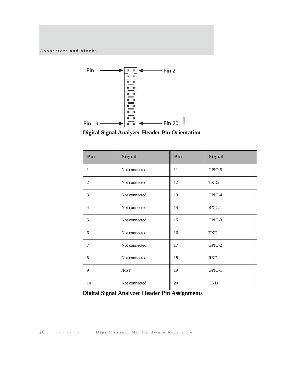



| Pin            | Signal        | Pin | Signal           |
|----------------|---------------|-----|------------------|
| $\mathbf{1}$   | Not connected | 11  | GPIO-5           |
| $\overline{2}$ | Not connected | 12  | TXD <sub>2</sub> |
| 3              | Not connected | 13  | GPIO-4           |
| $\overline{4}$ | Not connected | 14  | RXD <sub>2</sub> |
| 5              | Not connected | 15  | GPIO-3           |
| 6              | Not connected | 16  | <b>TXD</b>       |
| 7              | Not connected | 17  | GPIO-2           |
| 8              | Not connected | 18  | <b>RXD</b>       |
| 9              | /RST          | 19  | GPIO-1           |
| 10             | Not connected | 20  | <b>GND</b>       |

**Digital Signal Analyzer Header Pin Assignments**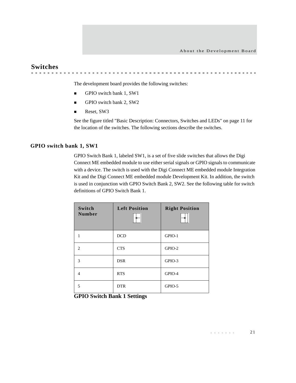# <span id="page-28-0"></span>**Switches**

. . . . . . . . . . . . . . . . . . .

The development board provides the following switches:

- $\blacksquare$  [GPIO switch bank 1, SW1](#page-28-1)
- $\blacksquare$  [GPIO switch bank 2, SW2](#page-29-0)
- [Reset, SW3](#page-29-1)

See the figure titled ["Basic Description: Connectors, Switches and LEDs" on page 11](#page-18-0) for the location of the switches. The following sections describe the switches.

#### <span id="page-28-1"></span>**GPIO switch bank 1, SW1**

GPIO Switch Bank 1, labeled SW1, is a set of five slide switches that allows the Digi Connect ME embedded module to use either serial signals or GPIO signals to communicate with a device. The switch is used with the Digi Connect ME embedded module Integration Kit and the Digi Connect ME embedded module Development Kit. In addition, the switch is used in conjunction with GPIO Switch Bank 2, SW2. See the following table for switch definitions of GPIO Switch Bank 1.

| Switch<br><b>Number</b>     | <b>Left Position</b> | <b>Right Position</b> |
|-----------------------------|----------------------|-----------------------|
| 1                           | <b>DCD</b>           | GPIO-1                |
| $\mathcal{D}_{\mathcal{L}}$ | <b>CTS</b>           | GPIO-2                |
| 3                           | <b>DSR</b>           | GPIO-3                |
| $\overline{4}$              | <b>RTS</b>           | GPIO-4                |
| 5                           | <b>DTR</b>           | GPIO-5                |

**GPIO Switch Bank 1 Settings**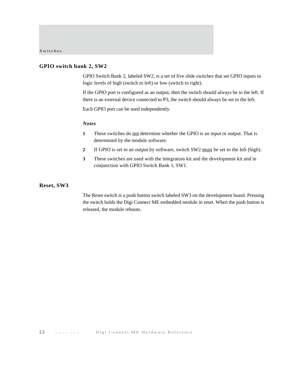#### <span id="page-29-0"></span>**GPIO switch bank 2, SW2**

GPIO Switch Bank 2, labeled SW2, is a set of five slide switches that set GPIO inputs to logic levels of high (switch to left) or low (switch to right).

If the GPIO port is configured as an output, then the switch should always be to the left. If there is an external device connected to P3, the switch should always be set to the left.

Each GPIO port can be used independently.

#### *Notes*

- **1** These switches do not determine whether the GPIO is an input or output. That is determined by the module software.
- **2** If GPIO is set to an output by software, switch SW2 must be set to the left (high).
- **3** These switches are used with the integration kit and the development kit and in conjunction with GPIO Switch Bank 1, SW1.

#### <span id="page-29-1"></span>**Reset, SW3**

The Reset switch is a push button switch labeled SW3 on the development board. Pressing the switch holds the Digi Connect ME embedded module in reset. When the push button is released, the module reboots.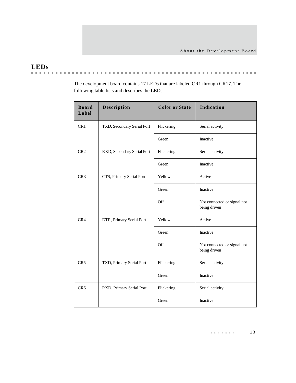# <span id="page-30-0"></span>**LEDs**

 $\sim 10$  $\sim$  $\sim$  $\sim$  $\sim$  $\sim$  $\sim$ 

The development board contains 17 LEDs that are labeled CR1 through CR17. The following table lists and describes the LEDs.

| <b>Board</b><br>Label | Description                | <b>Color or State</b> | Indication                                  |
|-----------------------|----------------------------|-----------------------|---------------------------------------------|
| CR1                   | TXD, Secondary Serial Port | Flickering            | Serial activity                             |
|                       |                            | Green                 | Inactive                                    |
| CR <sub>2</sub>       | RXD, Secondary Serial Port | Flickering            | Serial activity                             |
|                       |                            | Green                 | Inactive                                    |
| CR3                   | CTS, Primary Serial Port   | Yellow                | Active                                      |
|                       |                            | Green                 | Inactive                                    |
|                       |                            | Off                   | Not connected or signal not<br>being driven |
| CR4                   | DTR, Primary Serial Port   | Yellow                | Active                                      |
|                       |                            | Green                 | Inactive                                    |
|                       |                            | Off                   | Not connected or signal not<br>being driven |
| CR <sub>5</sub>       | TXD, Primary Serial Port   | Flickering            | Serial activity                             |
|                       |                            | Green                 | Inactive                                    |
| CR <sub>6</sub>       | RXD, Primary Serial Port   | Flickering            | Serial activity                             |
|                       |                            | Green                 | Inactive                                    |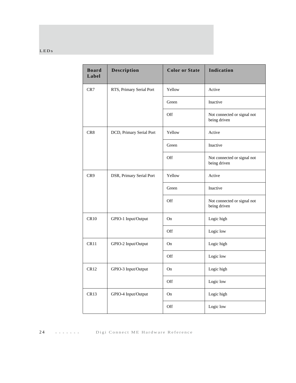| <b>Board</b><br>Label | Description              | <b>Color or State</b> | Indication                                  |
|-----------------------|--------------------------|-----------------------|---------------------------------------------|
| CR7                   | RTS, Primary Serial Port | Yellow                | Active                                      |
|                       |                          | Green                 | Inactive                                    |
|                       |                          | Off                   | Not connected or signal not<br>being driven |
| CR8                   | DCD, Primary Serial Port | Yellow                | Active                                      |
|                       |                          | Green                 | Inactive                                    |
|                       |                          | Off                   | Not connected or signal not<br>being driven |
| CR9                   | DSR, Primary Serial Port | Yellow                | Active                                      |
|                       |                          | Green                 | Inactive                                    |
|                       |                          | Off                   | Not connected or signal not<br>being driven |
| CR10                  | GPIO-1 Input/Output      | On                    | Logic high                                  |
|                       |                          | Off                   | Logic low                                   |
| CR11                  | GPIO-2 Input/Output      | On                    | Logic high                                  |
|                       |                          | Off                   | Logic low                                   |
| <b>CR12</b>           | GPIO-3 Input/Output      | On                    | Logic high                                  |
|                       |                          | Off                   | Logic low                                   |
| CR13                  | GPIO-4 Input/Output      | On                    | Logic high                                  |
|                       |                          | Off                   | Logic low                                   |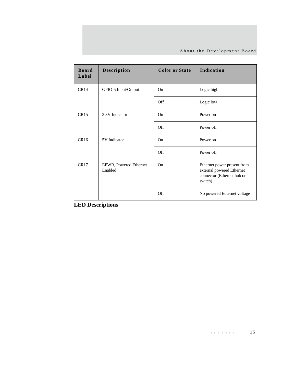| <b>Board</b><br>Label | Description                       | <b>Color or State</b> | Indication                                                                                        |
|-----------------------|-----------------------------------|-----------------------|---------------------------------------------------------------------------------------------------|
| CR14                  | GPIO-5 Input/Output               | On                    | Logic high                                                                                        |
|                       |                                   | Off                   | Logic low                                                                                         |
| CR15                  | 3.3V Indicator                    | On                    | Power on                                                                                          |
|                       |                                   | Off                   | Power off                                                                                         |
| CR16                  | 5V Indicator                      | On                    | Power on                                                                                          |
|                       |                                   | Off                   | Power off                                                                                         |
| CR17                  | EPWR, Powered Ethernet<br>Enabled | On                    | Ethernet power present from<br>external powered Ethernet<br>connector (Ethernet hub or<br>switch) |
|                       |                                   | Off                   | No powered Ethernet voltage                                                                       |

# **LED Descriptions**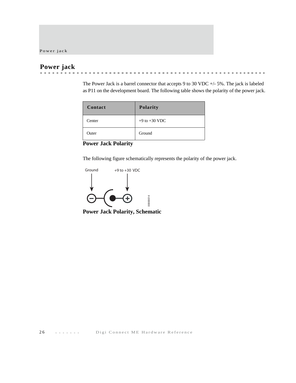$\sim$ 

 $\mathbb{R}^d$ 

# <span id="page-33-0"></span>**Power jack**

 $\mathbf{m}$  and

The Power Jack is a barrel connector that accepts 9 to 30 VDC +/- 5%. The jack is labeled as P11 on the development board. The following table shows the polarity of the power jack.

 $\sim$ 

 $\alpha$  $\sim$ **CONTRACTOR** 

 $\mathbb{R}^d$ 

a a

 $\mathbf{R}$  , and  $\mathbf{R}$  , and  $\mathbf{R}$  , and

ш

| Contact | Polarity          |
|---------|-------------------|
| Center  | $+9$ to $+30$ VDC |
| Outer   | Ground            |

**Power Jack Polarity**

The following figure schematically represents the polarity of the power jack.

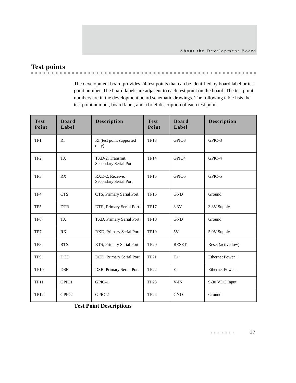$\alpha$ 

**Contract Contract** 

 $\mathbf{R} \cdot \mathbf{R}$  . If

#### <span id="page-34-0"></span>**Test points**  $\mathbf{0}$  ,  $\mathbf{0}$

The development board provides 24 test points that can be identified by board label or test point number. The board labels are adjacent to each test point on the board. The test point numbers are in the development board schematic drawings. The following table lists the test point number, board label, and a brief description of each test point.

| <b>Test</b><br>Point | <b>Board</b><br>Label | <b>Description</b>                        | <b>Test</b><br>Point | <b>Board</b><br>Label | Description        |
|----------------------|-----------------------|-------------------------------------------|----------------------|-----------------------|--------------------|
| TP1                  | RI                    | RI (test point supported<br>only)         | <b>TP13</b>          | GPIO3                 | GPIO-3             |
| TP <sub>2</sub>      | <b>TX</b>             | TXD-2, Transmit,<br>Secondary Serial Port | <b>TP14</b>          | GPIO <sub>4</sub>     | GPIO-4             |
| TP3                  | RX                    | RXD-2, Receive,<br>Secondary Serial Port  | <b>TP15</b>          | GPIO5                 | GPIO-5             |
| TP4                  | <b>CTS</b>            | CTS, Primary Serial Port                  | <b>TP16</b>          | <b>GND</b>            | Ground             |
| TP <sub>5</sub>      | <b>DTR</b>            | DTR, Primary Serial Port                  | <b>TP17</b>          | 3.3V                  | 3.3V Supply        |
| TP <sub>6</sub>      | <b>TX</b>             | TXD, Primary Serial Port                  | <b>TP18</b>          | <b>GND</b>            | Ground             |
| TP7                  | RX                    | RXD, Primary Serial Port                  | <b>TP19</b>          | 5V                    | 5.0V Supply        |
| TP8                  | <b>RTS</b>            | RTS, Primary Serial Port                  | <b>TP20</b>          | <b>RESET</b>          | Reset (active low) |
| TP <sub>9</sub>      | <b>DCD</b>            | DCD, Primary Serial Port                  | <b>TP21</b>          | $E+$                  | Ethernet Power +   |
| <b>TP10</b>          | <b>DSR</b>            | DSR, Primary Serial Port                  | <b>TP22</b>          | $E-$                  | Ethernet Power -   |
| <b>TP11</b>          | GPIO1                 | GPIO-1                                    | <b>TP23</b>          | $V-IN$                | 9-30 VDC Input     |
| <b>TP12</b>          | GPIO <sub>2</sub>     | GPIO-2                                    | <b>TP24</b>          | <b>GND</b>            | Ground             |

#### **Test Point Descriptions**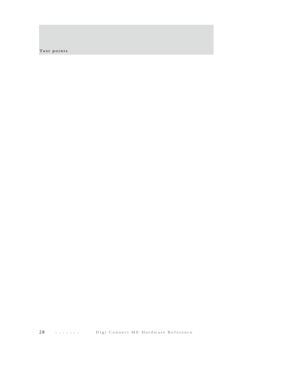Test points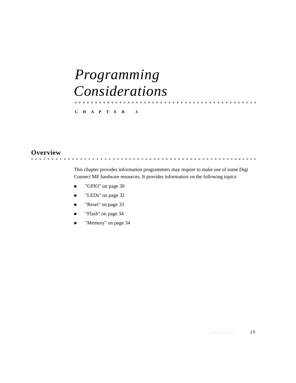# <span id="page-36-0"></span>*Programming Considerations* **A REPORT OF A RIVER AT LCCC.**

**CHAPTER 3**

# <span id="page-36-1"></span>**Overview**

This chapter provides information programmers may require to make use of some Digi Connect ME hardware resources. It provides information on the following topics:

 $\mathbf{m}$  ,  $\mathbf{m}$  ,  $\mathbf{m}$ 

 $\mathbf{m}$  ,  $\mathbf{m}$ 

 $\alpha$  $\sim$  10  $\sim$  10  $\sim$ 

**CONTRACTOR** 

n a m

**CONTRACTOR** 

**If** ["GPIO" on page 30](#page-37-0)

 $\sim$ 

- **I** ["LEDs" on page 32](#page-39-0)
- Reset" on page 33
- **E** ["Flash" on page 34](#page-41-0)
- **E** ["Memory" on page 34](#page-41-1)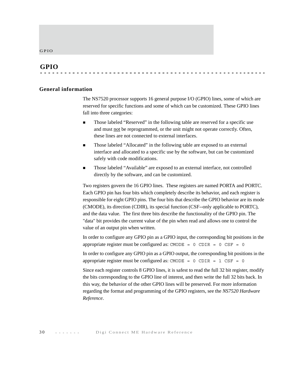# <span id="page-37-0"></span>**GPIO**

#### **General information**

The NS7520 processor supports 16 general purpose I/O (GPIO) lines, some of which are reserved for specific functions and some of which can be customized. These GPIO lines fall into three categories:

. . . . . . . . . . . . . . .

- ! Those labeled "Reserved" in the following table are reserved for a specific use and must not be reprogrammed, or the unit might not operate correctly. Often, these lines are not connected to external interfaces.
- **If the Those labeled "Allocated" in the following table are exposed to an external** interface and allocated to a specific use by the software, but can be customized safely with code modifications.
- ! Those labeled "Available" are exposed to an external interface, not controlled directly by the software, and can be customized.

Two registers govern the 16 GPIO lines. These registers are named PORTA and PORTC. Each GPIO pin has four bits which completely describe its behavior, and each register is responsible for eight GPIO pins. The four bits that describe the GPIO behavior are its mode (CMODE), its direction (CDIR), its special function (CSF--only applicable to PORTC), and the data value. The first three bits describe the functionality of the GPIO pin. The "data" bit provides the current value of the pin when read and allows one to control the value of an output pin when written.

In order to configure any GPIO pin as a GPIO input, the corresponding bit positions in the appropriate register must be configured as: CMODE =  $0$  CDIR =  $0$  CSF =  $0$ 

In order to configure any GPIO pin as a GPIO output, the corresponding bit positions in the appropriate register must be configured as: CMODE =  $0$  CDIR =  $1$  CSF =  $0$ 

Since each register controls 8 GPIO lines, it is safest to read the full 32 bit register, modify the bits corresponding to the GPIO line of interest, and then write the full 32 bits back. In this way, the behavior of the other GPIO lines will be preserved. For more information regarding the format and programming of the GPIO registers, see the *NS7520 Hardware Reference*.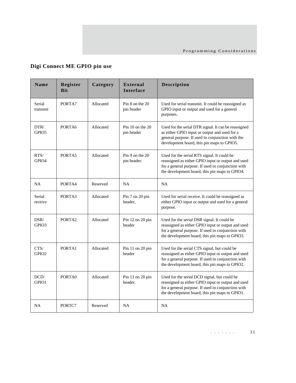# <span id="page-38-0"></span>**Digi Connect ME GPIO pin use**

| <b>Name</b>               | Register<br><b>Bit</b> | Category  | <b>External</b><br>Interface   | Description                                                                                                                                                                                                |
|---------------------------|------------------------|-----------|--------------------------------|------------------------------------------------------------------------------------------------------------------------------------------------------------------------------------------------------------|
| Serial<br>transmit        | PORTA7                 | Allocated | Pin 8 on the 20<br>pin header  | Used for serial transmit. It could be reassigned as<br>GPIO input or output and used for a general<br>purposes.                                                                                            |
| DTR/<br>GPIO5             | PORTA6                 | Allocated | Pin 10 on the 20<br>pin header | Used for the serial DTR signal. It can be reassigned<br>as either GPIO input or output and used for a<br>general purpose. If used in conjunction with the<br>development board, this pin maps to GPIO5.    |
| RTS/<br>GPIO4             | PORTA5                 | Allocated | Pin 9 on the 20<br>pin header. | Used for the serial RTS signal. It could be<br>reassigned as either GPIO input or output and used<br>for a general purpose. If used in conjunction with<br>the development board, this pin maps to GPIO4.  |
| NA                        | PORTA4                 | Reserved  | NA                             | NA                                                                                                                                                                                                         |
| Serial<br>receive         | PORTA3                 | Allocated | Pin 7 on 20 pin<br>header,     | Used for serial receive. It could be reassigned as<br>either GPIO input or output and used for a general<br>purpose.                                                                                       |
| DSR/<br>GPIO3             | PORTA2                 | Allocated | Pin 12 on 20 pin<br>header     | Used for the serial DSR signal. It could be<br>reassigned as either GPIO input or output and used<br>for a general purpose. If used in conjunction with<br>the development board, this pin maps to GPIO3.  |
| CTS/<br>GPIO <sub>2</sub> | PORTA1                 | Allocated | Pin 11 on 20 pin<br>header     | Used for the serial CTS signal, but could be<br>reassigned as either GPIO input or output and used<br>for a general purpose. If used in conjunction with<br>the development board, this pin maps to GPIO2. |
| DCD/<br>GPIO1             | PORTA0                 | Allocated | Pin 13 on 20 pin<br>header.    | Used for the serial DCD signal, but could be<br>reassigned as either GPIO input or output and used<br>for a general purpose. If used in conjunction with<br>the development board, this pin maps to GPIO1. |
| <b>NA</b>                 | PORTC7                 | Reserved  | <b>NA</b>                      | <b>NA</b>                                                                                                                                                                                                  |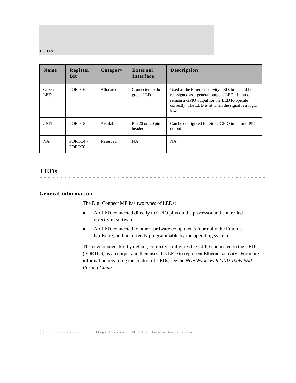| <b>Name</b>         | Register<br><b>Bit</b>        | Category  | External<br><b>Interface</b>   | Description                                                                                                                                                                                                    |
|---------------------|-------------------------------|-----------|--------------------------------|----------------------------------------------------------------------------------------------------------------------------------------------------------------------------------------------------------------|
| Green<br><b>LED</b> | PORTC <sub>6</sub>            | Allocated | Connected to the<br>green LED  | Used as the Ethernet activity LED, but could be<br>reassigned as a general purpose LED. It must<br>remain a GPIO output for the LED to operate<br>correctly. The LED is lit when the signal is a logic<br>low. |
| /INIT               | PORTC <sub>5</sub>            | Available | Pin $20$ on $20$ pin<br>header | Can be configured for either GPIO input or GPIO<br>output                                                                                                                                                      |
| <b>NA</b>           | PORTC4-<br>PORTC <sub>0</sub> | Reserved  | <b>NA</b>                      | <b>NA</b>                                                                                                                                                                                                      |

# <span id="page-39-0"></span>**LEDs**

m.  $\sim$  $\equiv$  $\alpha$  $\equiv$  $\sim$  $\sim 100$  $\sim$  $\sim$  $\sim$  $\sim$  $\equiv$ 

### **General information**

The Digi Connect ME has two types of LEDs:

- ! An LED connected directly to GPIO pins on the processor and controlled directly in software
- ! An LED connected to other hardware components (normally the Ethernet hardware) and not directly programmable by the operating system

The development kit, by default, correctly configures the GPIO connected to the LED (PORTC6) as an output and then uses this LED to represent Ethernet activity. For more information regarding the control of LEDs, see the *Net+Works with GNU Tools BSP Porting Guide*.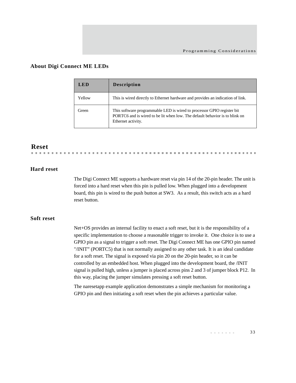#### **About Digi Connect ME LEDs**

| <b>LED</b> | <b>Description</b>                                                                                                                                                          |
|------------|-----------------------------------------------------------------------------------------------------------------------------------------------------------------------------|
| Yellow     | This is wired directly to Ethernet hardware and provides an indication of link.                                                                                             |
| Green      | This software programmable LED is wired to processor GPIO register bit<br>PORTC6 and is wired to be lit when low. The default behavior is to blink on<br>Ethernet activity. |

### <span id="page-40-1"></span><span id="page-40-0"></span>**Reset**

#### **Hard reset**

The Digi Connect ME supports a hardware reset via pin 14 of the 20-pin header. The unit is forced into a hard reset when this pin is pulled low. When plugged into a development board, this pin is wired to the push button at SW3. As a result, this switch acts as a hard reset button.

#### **Soft reset**

Net+OS provides an internal facility to enact a soft reset, but it is the responsibility of a specific implementation to choose a reasonable trigger to invoke it. One choice is to use a GPIO pin as a signal to trigger a soft reset. The Digi Connect ME has one GPIO pin named "/INIT" (PORTC5) that is not normally assigned to any other task. It is an ideal candidate for a soft reset. The signal is exposed via pin 20 on the 20-pin header, so it can be controlled by an embedded host. When plugged into the development board, the /INIT signal is pulled high, unless a jumper is placed across pins 2 and 3 of jumper block P12. In this way, placing the jumper simulates pressing a soft reset button.

The naresetapp example application demonstrates a simple mechanism for monitoring a GPIO pin and then initiating a soft reset when the pin achieves a particular value.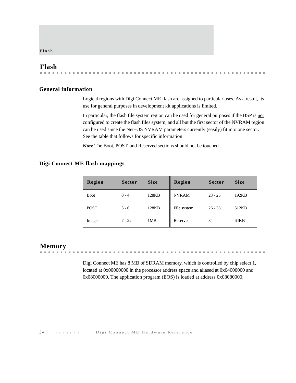# <span id="page-41-0"></span>**Flash**

#### **General information**

Logical regions with Digi Connect ME flash are assigned to particular uses. As a result, its use for general purposes in development kit applications is limited.

**ALCOHOL: NO** 

In particular, the flash file system region can be used for general purposes if the BSP is not configured to create the flash files system, and all but the first sector of the NVRAM region can be used since the Net+OS NVRAM parameters currently (easily) fit into one sector. See the table that follows for specific information.

**Note** The Boot, POST, and Reserved sections should not be touched.

#### **Digi Connect ME flash mappings**

| Region      | <b>Sector</b> | <b>Size</b> | Region       | <b>Sector</b> | <b>Size</b> |
|-------------|---------------|-------------|--------------|---------------|-------------|
| <b>Boot</b> | $0 - 4$       | 128KB       | <b>NVRAM</b> | $23 - 25$     | 192KB       |
| <b>POST</b> | $5 - 6$       | 128KB       | File system  | $26 - 33$     | 512KB       |
| Image       | $7 - 22$      | 1MB         | Reserved     | 34            | 64KB        |

## <span id="page-41-1"></span>**Memory**

Digi Connect ME has 8 MB of SDRAM memory, which is controlled by chip select 1, located at 0x00000000 in the processor address space and aliased at 0x04000000 and 0x08000000. The application program (EOS) is loaded at address 0x08080000.

**CONTRACTOR**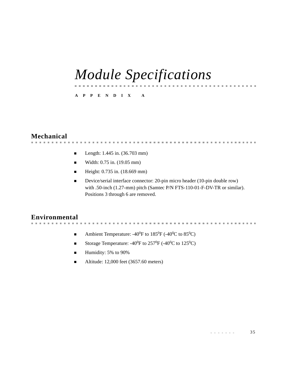# <span id="page-42-0"></span>*Module Specifications*

#### **APPENDIX A**

# <span id="page-42-1"></span>**Mechanical**

- **•** Length: 1.445 in.  $(36.703 \text{ mm})$
- $\blacksquare$  Width: 0.75 in. (19.05 mm)
- ! Height: 0.735 in. (18.669 mm)
- **EXEC** Device/serial interface connector: 20-pin micro header (10-pin double row) with .50-inch (1.27-mm) pitch (Samtec P/N FTS-110-01-F-DV-TR or similar). Positions 3 through 6 are removed.

# <span id="page-42-2"></span>**Environmental**

• Ambient Temperature: -40<sup>0</sup>F to 185<sup>0</sup>F (-40<sup>0</sup>C to 85<sup>0</sup>C)

- Storage Temperature: -40<sup>0</sup>F to 257<sup>0</sup>F (-40<sup>0</sup>C to 125<sup>0</sup>C)
- $\blacksquare$  Humidity: 5% to 90%
- $\blacksquare$  Altitude: 12,000 feet (3657.60 meters)

. . . . . . . . . . . .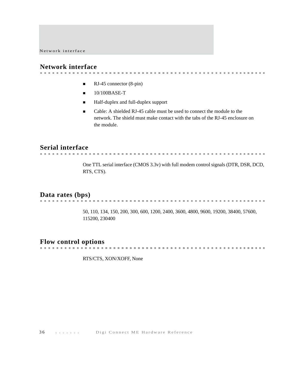## <span id="page-43-0"></span>**Network interface**

- $\blacksquare$  RJ-45 connector (8-pin)
- $\blacksquare$  10/100BASE-T
- ! Half-duplex and full-duplex support
- Cable: A shielded RJ-45 cable must be used to connect the module to the network. The shield must make contact with the tabs of the RJ-45 enclosure on the module.

. . . . . . . . . . . .

 $\sim$ 

. . . . . . . . . .

# <span id="page-43-1"></span>**Serial interface**

One TTL serial interface (CMOS 3.3v) with full modem control signals (DTR, DSR, DCD, RTS, CTS).

#### <span id="page-43-2"></span>**Data rates (bps)**

50, 110, 134, 150, 200, 300, 600, 1200, 2400, 3600, 4800, 9600, 19200, 38400, 57600, 115200, 230400

### <span id="page-43-3"></span>**Flow control options**

the contract of the contract of the con-

RTS/CTS, XON/XOFF, None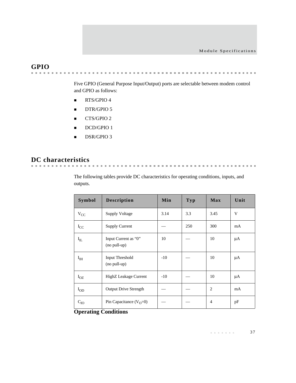#### <span id="page-44-0"></span>**GPIO**

. . . . . . . . . .  $\mathbf{0}$  , and  $\mathbf{0}$ **CONTRACTOR**  $\label{eq:3.1} \mathbf{H} = \mathbf{H} + \mathbf{H} + \mathbf{H} + \mathbf{H} + \mathbf{H} + \mathbf{H} + \mathbf{H}$ 

> Five GPIO (General Purpose Input/Output) ports are selectable between modem control and GPIO as follows:

- $\blacksquare$  RTS/GPIO 4
- **DTR/GPIO 5**
- **CTS/GPIO 2**
- DCD/GPIO 1
- **DSR/GPIO 3**

# <span id="page-44-2"></span><span id="page-44-1"></span>**DC characteristics**

The following tables provide DC characteristics for operating conditions, inputs, and outputs.

| Symbol   | Description                            | Min   | Typ | Max            | Unit |
|----------|----------------------------------------|-------|-----|----------------|------|
| $V_{CC}$ | <b>Supply Voltage</b>                  | 3.14  | 3.3 | 3.45           | V    |
| $I_{CC}$ | <b>Supply Current</b>                  |       | 250 | 300            | mA   |
| $I_{IL}$ | Input Current as "0"<br>(no pull-up)   | 10    |     | 10             | μA   |
| $I_{IH}$ | <b>Input Threshold</b><br>(no pull-up) | $-10$ |     | 10             | μA   |
| $I_{OZ}$ | HighZ Leakage Current                  | $-10$ |     | 10             | μA   |
| $I_{OD}$ | <b>Output Drive Strength</b>           |       |     | $\overline{c}$ | mA   |
| $C_{IO}$ | Pin Capacitance $(V_0=0)$              |       |     | $\overline{4}$ | pF   |

## **Operating Conditions**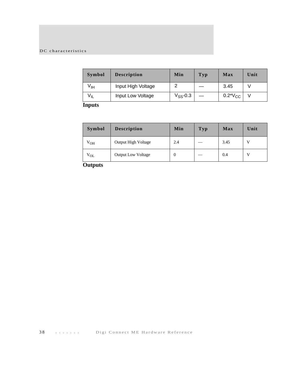| Symbol          | <b>Description</b> | Min           | Typ | Max           | Unit |
|-----------------|--------------------|---------------|-----|---------------|------|
| V <sub>IH</sub> | Input High Voltage | ົ             |     | 3.45          |      |
|                 | Input Low Voltage  | $V_{SS}$ -0.3 |     | $0.2^*V_{CC}$ |      |
| <b>.</b>        |                    |               |     |               |      |

#### **Inputs**

| Symbol        | Description                | Min | <b>Typ</b> | Max  | Unit |
|---------------|----------------------------|-----|------------|------|------|
| $\rm{V_{OH}}$ | <b>Output High Voltage</b> | 2.4 |            | 3.45 |      |
| $V_{OL}$      | <b>Output Low Voltage</b>  | 0   |            | 0.4  |      |

# **Outputs**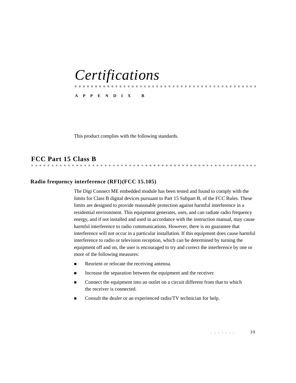# <span id="page-46-0"></span>*Certifications*

**APPENDIX B**

This product complies with the following standards.

# <span id="page-46-1"></span>**FCC Part 15 Class B**

#### **Radio frequency interference (RFI)(FCC 15.105)**

The Digi Connect ME embedded module has been tested and found to comply with the limits for Class B digital devices pursuant to Part 15 Subpart B, of the FCC Rules. These limits are designed to provide reasonable protection against harmful interference in a residential environment. This equipment generates, uses, and can radiate radio frequency energy, and if not installed and used in accordance with the instruction manual, may cause harmful interference to radio communications. However, there is no guarantee that interference will not occur in a particular installation. If this equipment does cause harmful interference to radio or television reception, which can be determined by turning the equipment off and on, the user is encouraged to try and correct the interference by one or more of the following measures:

- **EXECUTE:** Reorient or relocate the receiving antenna.
- **IDED** Increase the separation between the equipment and the receiver.
- **EXECONDER** Connect the equipment into an outlet on a circuit different from that to which the receiver is connected.
- Consult the dealer or an experienced radio/TV technician for help.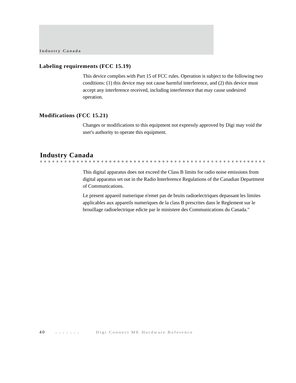#### **Labeling requirements (FCC 15.19)**

This device complies with Part 15 of FCC rules. Operation is subject to the following two conditions: (1) this device may not cause harmful interference, and (2) this device must accept any interference received, including interference that may cause undesired operation.

#### **Modifications (FCC 15.21)**

Changes or modifications to this equipment not expressly approved by Digi may void the user's authority to operate this equipment.

### <span id="page-47-0"></span>**Industry Canada**

This digital apparatus does not exceed the Class B limits for radio noise emissions from digital apparatus set out in the Radio Interference Regulations of the Canadian Department of Communications.

**CONTRACTOR** 

Le present appareil numerique n'emet pas de bruits radioelectriques depassant les limites applicables aux appareils numeriques de la class B prescrites dans le Reglement sur le brouillage radioelectrique edicte par le ministere des Communications du Canada."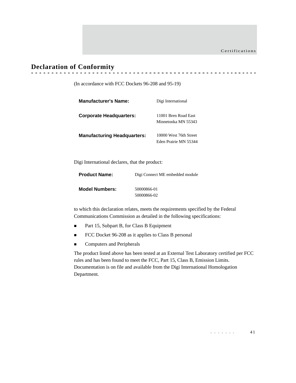$\mathbf{H}$  ,  $\mathbf{H}$  ,  $\mathbf{H}$  ,  $\mathbf{H}$ 

. . . . . . . . . . . . . . .

 $\sim 10$  $\sim$ 

 $\mathbf{u}$  $\mathbf{m}$ 

# <span id="page-48-0"></span>**Declaration of Conformity**

(In accordance with FCC Dockets 96-208 and 95-19)

 $\mathbf{H}$  ,  $\mathbf{H}$  ,  $\mathbf{H}$  ,  $\mathbf{H}$ 

| <b>Manufacturer's Name:</b>        | Digi International                              |
|------------------------------------|-------------------------------------------------|
| <b>Corporate Headquarters:</b>     | 11001 Bren Road East<br>Minnetonka MN 55343     |
| <b>Manufacturing Headquarters:</b> | 10000 West 76th Street<br>Eden Prairie MN 55344 |

m. **III THE R** 

Digi International declares, that the product:

| <b>Product Name:</b> | Digi Connect ME embedded module |
|----------------------|---------------------------------|
| Model Numbers:       | 50000866-01                     |
|                      | 50000866-02                     |

to which this declaration relates, meets the requirements specified by the Federal Communications Commission as detailed in the following specifications:

- Part 15, Subpart B, for Class B Equipment
- **ECC Docket 96-208 as it applies to Class B personal**
- **Exercise 2.5** Computers and Peripherals

The product listed above has been tested at an External Test Laboratory certified per FCC rules and has been found to meet the FCC, Part 15, Class B, Emission Limits. Documentation is on file and available from the Digi International Homologation Department.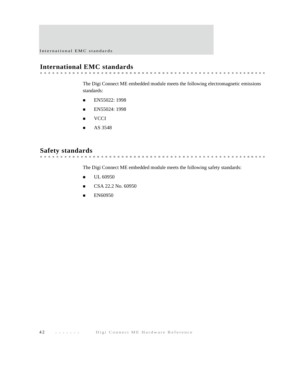# <span id="page-49-0"></span>**International EMC standards**

The Digi Connect ME embedded module meets the following electromagnetic emissions standards:

. . . . . . . . . . . . . . .

 $\mathbf{0}$  ,  $\mathbf{0}$  ,  $\mathbf{0}$ 

- **EN55022: 1998**
- $\blacksquare$  EN55024: 1998
- **I** VCCI
- ! AS 3548

# <span id="page-49-1"></span>**Safety standards**

The Digi Connect ME embedded module meets the following safety standards:

- $\blacksquare$  UL 60950
- $\blacksquare$  CSA 22.2 No. 60950
- **EN60950**